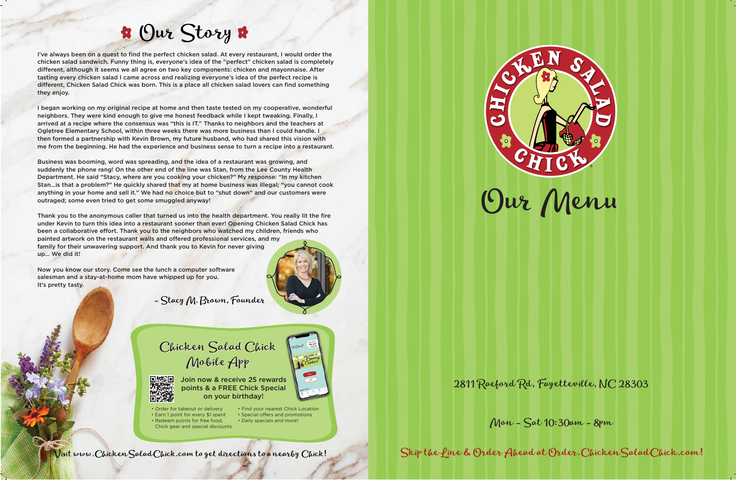I've always been on a quest to find the perfect chicken salad. At every restaurant, I would order the chicken salad sandwich. Funny thing is, everyone's idea of the "perfect" chicken salad is completely different, although it seems we all agree on two key components: chicken and mayonnaise. After tasting every chicken salad I came across and realizing everyone's idea of the perfect recipe is different, Chicken Salad Chick was born. This is a place all chicken salad lovers can find something they enjoy.

I began working on my original recipe at home and then taste tested on my cooperative, wonderful neighbors. They were kind enough to give me honest feedback while I kept tweaking. Finally, I arrived at a recipe where the consensus was "this is IT." Thanks to neighbors and the teachers at Ogletree Elementary School, within three weeks there was more business than I could handle. I then formed a partnership with Kevin Brown, my future husband, who had shared this vision with me from the beginning. He had the experience and business sense to turn a recipe into a restaurant.

Business was booming, word was spreading, and the idea of a restaurant was growing, and suddenly the phone rang! On the other end of the line was Stan, from the Lee County Health Department. He said "Stacy, where are you cooking your chicken?" My response: "In my kitchen Stan…is that a problem?" He quickly shared that my at home business was illegal; "you cannot cook anything in your home and sell it." We had no choice but to "shut down" and our customers were outraged; some even tried to get some smuggled anyway!

Thank you to the anonymous caller that turned us into the health department. You really lit the fire under Kevin to turn this idea into a restaurant sooner than ever! Opening Chicken Salad Chick has been a collaborative effort. Thank you to the neighbors who watched my children, friends who painted artwork on the restaurant walls and offered professional services, and my family for their unwavering support. And thank you to Kevin for never giving up… We did it!

Now you know our story. Come see the lunch a computer software salesman and a stay-at-home mom have whipped up for you. It's pretty tasty.

## Our Story

Visit www.ChickenSaladChick.com to get directions to a nearby Chick!



- Stacy M. Brown, Founder







• Order for takeout or delivery • Earn 1 point for every \$1 spent • Redeem points for free food,

Join now & receive 25 rewards points & a FREE Chick Special on your birthday!

 Chick gear and special discounts • Find your nearest Chick Location • Special offers and promotions • Daily specials and more!

#### 2811 Raeford Rd, Fayetteville, NC 28303

Mon - Sat 10:30am - 8pm

Skip the Line & Order Ahead at Order.ChickenSaladChick.com!